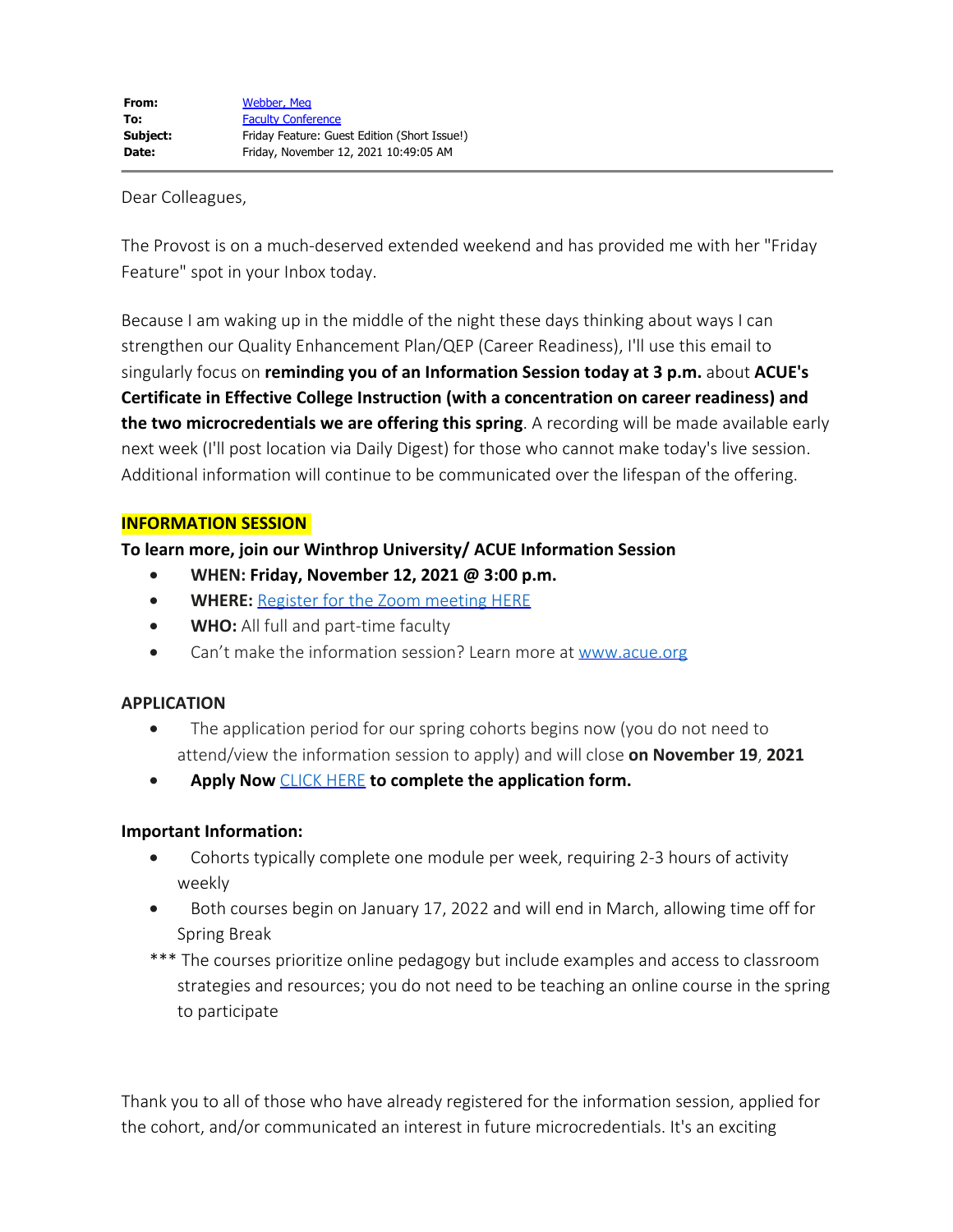## Dear Colleagues,

The Provost is on a much-deserved extended weekend and has provided me with her "Friday Feature" spot in your Inbox today.

Because I am waking up in the middle of the night these days thinking about ways I can strengthen our Quality Enhancement Plan/QEP (Career Readiness), I'll use this email to singularly focus on **reminding you of an Information Session today at 3 p.m.** about **ACUE's Certificate in Effective College Instruction (with a concentration on career readiness) and the two microcredentials we are offering this spring**. A recording will be made available early next week (I'll post location via Daily Digest) for those who cannot make today's live session. Additional information will continue to be communicated over the lifespan of the offering.

## **INFORMATION SESSION**

# **To learn more, join our Winthrop University/ ACUE Information Session**

- · **WHEN: Friday, November 12, 2021 @ 3:00 p.m.**
- · **WHERE:** [Register for the Zoom meeting HERE](https://zoom.us/meeting/register/tJAqce-rqjIsGtToMkH_EwBKygAiCIr37sck)
- · **WHO:** All full and part-time faculty
- · Can't make the information session? Learn more at [www.acue.org](http://www.acue.org/)

# **APPLICATION**

- The application period for our spring cohorts begins now (you do not need to attend/view the information session to apply) and will close **on November 19**, **2021**
- · **Apply Now** [CLICK HERE](https://forms.office.com/Pages/DesignPage.aspx?fragment=FormId%3DUisfZMscqEO8cUpg5D7wdg1B0sCOrH1Mj4pVSzhIi5VUODZTRzQ4S0FEOEwyT1czWERDQkQxUk1UWi4u%26Token%3D6097484715fb480d8089d77f73da07ac) **to complete the application form.**

# **Important Information:**

- Cohorts typically complete one module per week, requiring 2-3 hours of activity weekly
- · Both courses begin on January 17, 2022 and will end in March, allowing time off for Spring Break
- \*\*\* The courses prioritize online pedagogy but include examples and access to classroom strategies and resources; you do not need to be teaching an online course in the spring to participate

Thank you to all of those who have already registered for the information session, applied for the cohort, and/or communicated an interest in future microcredentials. It's an exciting